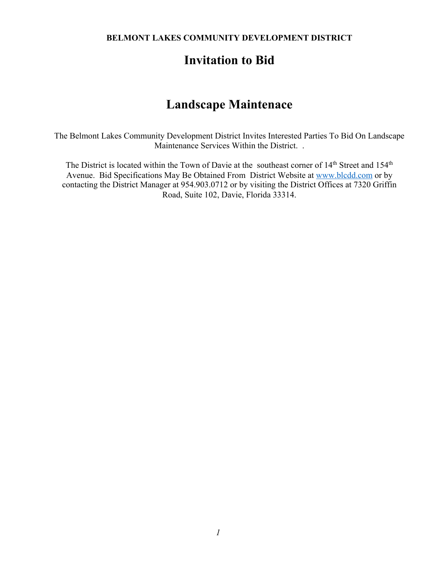**BELMONT LAKES COMMUNITY DEVELOPMENT DISTRICT**

# **Invitation to Bid**

# **Landscape Maintenace**

The Belmont Lakes Community Development District Invites Interested Parties To Bid On Landscape Maintenance Services Within the District. .

The District is located within the Town of Davie at the southeast corner of 14<sup>th</sup> Street and 154<sup>th</sup> Avenue. Bid Specifications May Be Obtained From District Website at www.blcdd.com or by contacting the District Manager at 954.903.0712 or by visiting the District Offices at 7320 Griffin Road, Suite 102, Davie, Florida 33314.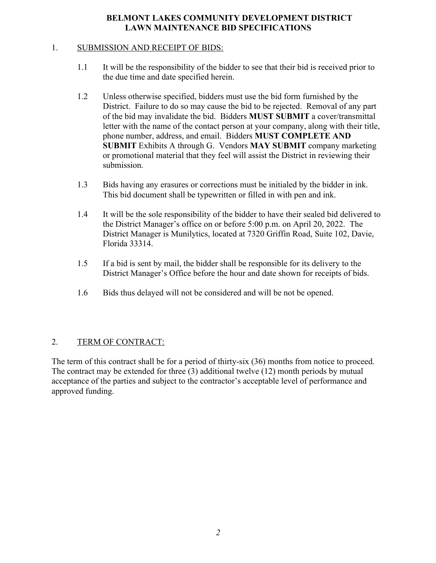### **BELMONT LAKES COMMUNITY DEVELOPMENT DISTRICT LAWN MAINTENANCE BID SPECIFICATIONS**

#### 1. SUBMISSION AND RECEIPT OF BIDS:

- 1.1 It will be the responsibility of the bidder to see that their bid is received prior to the due time and date specified herein.
- 1.2 Unless otherwise specified, bidders must use the bid form furnished by the District. Failure to do so may cause the bid to be rejected. Removal of any part of the bid may invalidate the bid. Bidders **MUST SUBMIT** a cover/transmittal letter with the name of the contact person at your company, along with their title, phone number, address, and email. Bidders **MUST COMPLETE AND SUBMIT** Exhibits A through G. Vendors **MAY SUBMIT** company marketing or promotional material that they feel will assist the District in reviewing their submission.
- 1.3 Bids having any erasures or corrections must be initialed by the bidder in ink. This bid document shall be typewritten or filled in with pen and ink.
- 1.4 It will be the sole responsibility of the bidder to have their sealed bid delivered to the District Manager's office on or before 5:00 p.m. on April 20, 2022. The District Manager is Munilytics, located at 7320 Griffin Road, Suite 102, Davie, Florida 33314.
- 1.5 If a bid is sent by mail, the bidder shall be responsible for its delivery to the District Manager's Office before the hour and date shown for receipts of bids.
- 1.6 Bids thus delayed will not be considered and will be not be opened.

### 2. TERM OF CONTRACT:

The term of this contract shall be for a period of thirty-six (36) months from notice to proceed. The contract may be extended for three (3) additional twelve (12) month periods by mutual acceptance of the parties and subject to the contractor's acceptable level of performance and approved funding.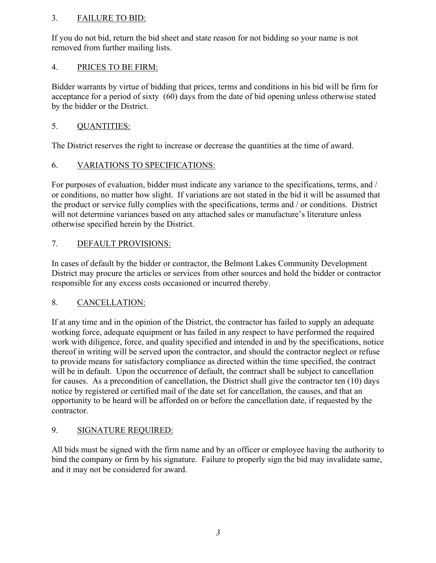# 3. FAILURE TO BID:

If you do not bid, return the bid sheet and state reason for not bidding so your name is not removed from further mailing lists.

# 4. PRICES TO BE FIRM:

Bidder warrants by virtue of bidding that prices, terms and conditions in his bid will be firm for acceptance for a period of sixty (60) days from the date of bid opening unless otherwise stated by the bidder or the District.

# 5. QUANTITIES:

The District reserves the right to increase or decrease the quantities at the time of award.

# 6. VARIATIONS TO SPECIFICATIONS:

For purposes of evaluation, bidder must indicate any variance to the specifications, terms, and / or conditions, no matter how slight. If variations are not stated in the bid it will be assumed that the product or service fully complies with the specifications, terms and / or conditions. District will not determine variances based on any attached sales or manufacture's literature unless otherwise specified herein by the District.

# 7. DEFAULT PROVISIONS:

In cases of default by the bidder or contractor, the Belmont Lakes Community Development District may procure the articles or services from other sources and hold the bidder or contractor responsible for any excess costs occasioned or incurred thereby.

### 8. CANCELLATION:

If at any time and in the opinion of the District, the contractor has failed to supply an adequate working force, adequate equipment or has failed in any respect to have performed the required work with diligence, force, and quality specified and intended in and by the specifications, notice thereof in writing will be served upon the contractor, and should the contractor neglect or refuse to provide means for satisfactory compliance as directed within the time specified, the contract will be in default. Upon the occurrence of default, the contract shall be subject to cancellation for causes. As a precondition of cancellation, the District shall give the contractor ten (10) days notice by registered or certified mail of the date set for cancellation, the causes, and that an opportunity to be heard will be afforded on or before the cancellation date, if requested by the contractor.

# 9. SIGNATURE REQUIRED:

All bids must be signed with the firm name and by an officer or employee having the authority to bind the company or firm by his signature. Failure to properly sign the bid may invalidate same, and it may not be considered for award.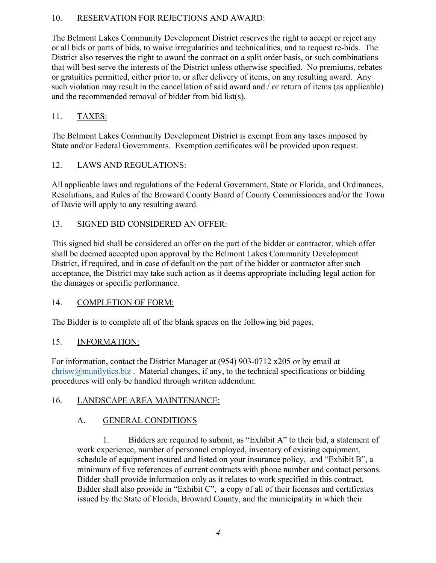# 10. RESERVATION FOR REJECTIONS AND AWARD:

The Belmont Lakes Community Development District reserves the right to accept or reject any or all bids or parts of bids, to waive irregularities and technicalities, and to request re-bids. The District also reserves the right to award the contract on a split order basis, or such combinations that will best serve the interests of the District unless otherwise specified. No premiums, rebates or gratuities permitted, either prior to, or after delivery of items, on any resulting award. Any such violation may result in the cancellation of said award and / or return of items (as applicable) and the recommended removal of bidder from bid list(s).

# 11. TAXES:

The Belmont Lakes Community Development District is exempt from any taxes imposed by State and/or Federal Governments. Exemption certificates will be provided upon request.

### 12. LAWS AND REGULATIONS:

All applicable laws and regulations of the Federal Government, State or Florida, and Ordinances, Resolutions, and Rules of the Broward County Board of County Commissioners and/or the Town of Davie will apply to any resulting award.

# 13. SIGNED BID CONSIDERED AN OFFER:

This signed bid shall be considered an offer on the part of the bidder or contractor, which offer shall be deemed accepted upon approval by the Belmont Lakes Community Development District, if required, and in case of default on the part of the bidder or contractor after such acceptance, the District may take such action as it deems appropriate including legal action for the damages or specific performance.

### 14. COMPLETION OF FORM:

The Bidder is to complete all of the blank spaces on the following bid pages.

### 15. INFORMATION:

For information, contact the District Manager at (954) 903-0712 x205 or by email at  $chrisw@mu\n$ nilytics.biz. Material changes, if any, to the technical specifications or bidding procedures will only be handled through written addendum.

### 16. LANDSCAPE AREA MAINTENANCE:

# A. GENERAL CONDITIONS

1. Bidders are required to submit, as "Exhibit A" to their bid, a statement of work experience, number of personnel employed, inventory of existing equipment, schedule of equipment insured and listed on your insurance policy, and "Exhibit B", a minimum of five references of current contracts with phone number and contact persons. Bidder shall provide information only as it relates to work specified in this contract. Bidder shall also provide in "Exhibit C", a copy of all of their licenses and certificates issued by the State of Florida, Broward County, and the municipality in which their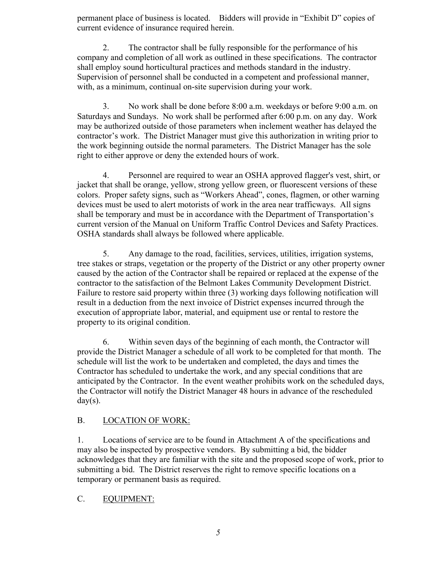permanent place of business is located. Bidders will provide in "Exhibit D" copies of current evidence of insurance required herein.

2. The contractor shall be fully responsible for the performance of his company and completion of all work as outlined in these specifications. The contractor shall employ sound horticultural practices and methods standard in the industry. Supervision of personnel shall be conducted in a competent and professional manner, with, as a minimum, continual on-site supervision during your work.

3. No work shall be done before 8:00 a.m. weekdays or before 9:00 a.m. on Saturdays and Sundays. No work shall be performed after 6:00 p.m. on any day. Work may be authorized outside of those parameters when inclement weather has delayed the contractor's work. The District Manager must give this authorization in writing prior to the work beginning outside the normal parameters. The District Manager has the sole right to either approve or deny the extended hours of work.

4. Personnel are required to wear an OSHA approved flagger's vest, shirt, or jacket that shall be orange, yellow, strong yellow green, or fluorescent versions of these colors. Proper safety signs, such as "Workers Ahead", cones, flagmen, or other warning devices must be used to alert motorists of work in the area near trafficways. All signs shall be temporary and must be in accordance with the Department of Transportation's current version of the Manual on Uniform Traffic Control Devices and Safety Practices. OSHA standards shall always be followed where applicable.

5. Any damage to the road, facilities, services, utilities, irrigation systems, tree stakes or straps, vegetation or the property of the District or any other property owner caused by the action of the Contractor shall be repaired or replaced at the expense of the contractor to the satisfaction of the Belmont Lakes Community Development District. Failure to restore said property within three (3) working days following notification will result in a deduction from the next invoice of District expenses incurred through the execution of appropriate labor, material, and equipment use or rental to restore the property to its original condition.

6. Within seven days of the beginning of each month, the Contractor will provide the District Manager a schedule of all work to be completed for that month. The schedule will list the work to be undertaken and completed, the days and times the Contractor has scheduled to undertake the work, and any special conditions that are anticipated by the Contractor. In the event weather prohibits work on the scheduled days, the Contractor will notify the District Manager 48 hours in advance of the rescheduled  $day(s)$ .

# B. LOCATION OF WORK:

1. Locations of service are to be found in Attachment A of the specifications and may also be inspected by prospective vendors. By submitting a bid, the bidder acknowledges that they are familiar with the site and the proposed scope of work, prior to submitting a bid. The District reserves the right to remove specific locations on a temporary or permanent basis as required.

### C. EQUIPMENT: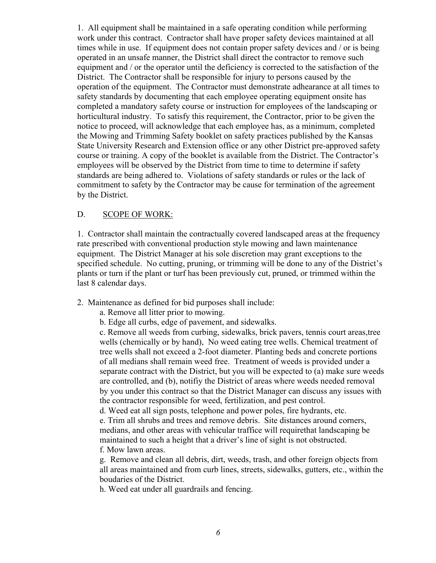1. All equipment shall be maintained in a safe operating condition while performing work under this contract. Contractor shall have proper safety devices maintained at all times while in use. If equipment does not contain proper safety devices and / or is being operated in an unsafe manner, the District shall direct the contractor to remove such equipment and / or the operator until the deficiency is corrected to the satisfaction of the District. The Contractor shall be responsible for injury to persons caused by the operation of the equipment. The Contractor must demonstrate adhearance at all times to safety standards by documenting that each employee operating equipment onsite has completed a mandatory safety course or instruction for employees of the landscaping or horticultural industry. To satisfy this requirement, the Contractor, prior to be given the notice to proceed, will acknowledge that each employee has, as a minimum, completed the Mowing and Trimming Safety booklet on safety practices published by the Kansas State University Research and Extension office or any other District pre-approved safety course or training. A copy of the booklet is available from the District. The Contractor's employees will be observed by the District from time to time to determine if safety standards are being adhered to. Violations of safety standards or rules or the lack of commitment to safety by the Contractor may be cause for termination of the agreement by the District.

#### D. SCOPE OF WORK:

1. Contractor shall maintain the contractually covered landscaped areas at the frequency rate prescribed with conventional production style mowing and lawn maintenance equipment. The District Manager at his sole discretion may grant exceptions to the specified schedule. No cutting, pruning, or trimming will be done to any of the District's plants or turn if the plant or turf has been previously cut, pruned, or trimmed within the last 8 calendar days.

- 2. Maintenance as defined for bid purposes shall include:
	- a. Remove all litter prior to mowing.
	- b. Edge all curbs, edge of pavement, and sidewalks.

c. Remove all weeds from curbing, sidewalks, brick pavers, tennis court areas,tree wells (chemically or by hand), No weed eating tree wells. Chemical treatment of tree wells shall not exceed a 2-foot diameter. Planting beds and concrete portions of all medians shall remain weed free. Treatment of weeds is provided under a separate contract with the District, but you will be expected to (a) make sure weeds are controlled, and (b), notifiy the District of areas where weeds needed removal by you under this contract so that the District Manager can discuss any issues with the contractor responsible for weed, fertilization, and pest control.

d. Weed eat all sign posts, telephone and power poles, fire hydrants, etc. e. Trim all shrubs and trees and remove debris. Site distances around corners, medians, and other areas with vehicular traffice will requirethat landscaping be maintained to such a height that a driver's line of sight is not obstructed. f. Mow lawn areas.

g. Remove and clean all debris, dirt, weeds, trash, and other foreign objects from all areas maintained and from curb lines, streets, sidewalks, gutters, etc., within the boudaries of the District.

h. Weed eat under all guardrails and fencing.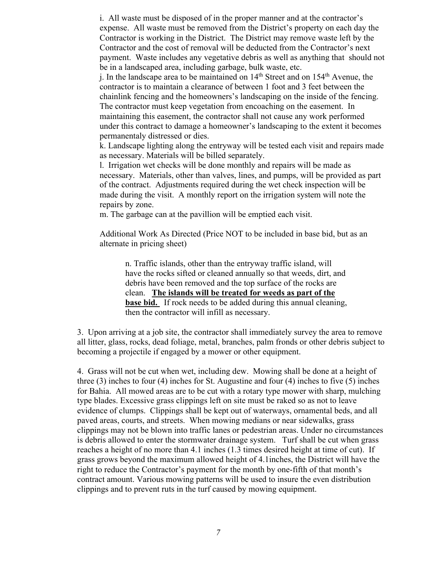i. All waste must be disposed of in the proper manner and at the contractor's expense. All waste must be removed from the District's property on each day the Contractor is working in the District. The District may remove waste left by the Contractor and the cost of removal will be deducted from the Contractor's next payment. Waste includes any vegetative debris as well as anything that should not be in a landscaped area, including garbage, bulk waste, etc.

j. In the landscape area to be maintained on  $14<sup>th</sup>$  Street and on  $154<sup>th</sup>$  Avenue, the contractor is to maintain a clearance of between 1 foot and 3 feet between the chainlink fencing and the homeowners's landscaping on the inside of the fencing. The contractor must keep vegetation from encoaching on the easement. In maintaining this easement, the contractor shall not cause any work performed under this contract to damage a homeowner's landscaping to the extent it becomes permanentaly distressed or dies.

k. Landscape lighting along the entryway will be tested each visit and repairs made as necessary. Materials will be billed separately.

l. Irrigation wet checks will be done monthly and repairs will be made as necessary. Materials, other than valves, lines, and pumps, will be provided as part of the contract. Adjustments required during the wet check inspection will be made during the visit. A monthly report on the irrigation system will note the repairs by zone.

m. The garbage can at the pavillion will be emptied each visit.

Additional Work As Directed (Price NOT to be included in base bid, but as an alternate in pricing sheet)

n. Traffic islands, other than the entryway traffic island, will have the rocks sifted or cleaned annually so that weeds, dirt, and debris have been removed and the top surface of the rocks are clean. **The islands will be treated for weeds as part of the base bid.** If rock needs to be added during this annual cleaning, then the contractor will infill as necessary.

3. Upon arriving at a job site, the contractor shall immediately survey the area to remove all litter, glass, rocks, dead foliage, metal, branches, palm fronds or other debris subject to becoming a projectile if engaged by a mower or other equipment.

4. Grass will not be cut when wet, including dew. Mowing shall be done at a height of three (3) inches to four (4) inches for St. Augustine and four (4) inches to five (5) inches for Bahia. All mowed areas are to be cut with a rotary type mower with sharp, mulching type blades. Excessive grass clippings left on site must be raked so as not to leave evidence of clumps. Clippings shall be kept out of waterways, ornamental beds, and all paved areas, courts, and streets. When mowing medians or near sidewalks, grass clippings may not be blown into traffic lanes or pedestrian areas. Under no circumstances is debris allowed to enter the stormwater drainage system. Turf shall be cut when grass reaches a height of no more than 4.1 inches (1.3 times desired height at time of cut). If grass grows beyond the maximum allowed height of 4.1inches, the District will have the right to reduce the Contractor's payment for the month by one-fifth of that month's contract amount. Various mowing patterns will be used to insure the even distribution clippings and to prevent ruts in the turf caused by mowing equipment.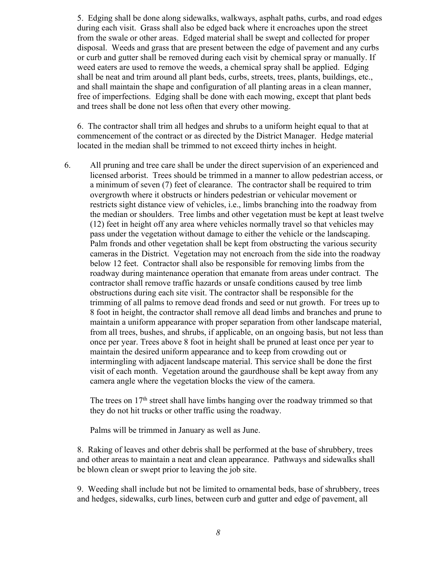5. Edging shall be done along sidewalks, walkways, asphalt paths, curbs, and road edges during each visit. Grass shall also be edged back where it encroaches upon the street from the swale or other areas. Edged material shall be swept and collected for proper disposal. Weeds and grass that are present between the edge of pavement and any curbs or curb and gutter shall be removed during each visit by chemical spray or manually. If weed eaters are used to remove the weeds, a chemical spray shall be applied. Edging shall be neat and trim around all plant beds, curbs, streets, trees, plants, buildings, etc., and shall maintain the shape and configuration of all planting areas in a clean manner, free of imperfections. Edging shall be done with each mowing, except that plant beds and trees shall be done not less often that every other mowing.

6. The contractor shall trim all hedges and shrubs to a uniform height equal to that at commencement of the contract or as directed by the District Manager. Hedge material located in the median shall be trimmed to not exceed thirty inches in height.

6. All pruning and tree care shall be under the direct supervision of an experienced and licensed arborist. Trees should be trimmed in a manner to allow pedestrian access, or a minimum of seven (7) feet of clearance. The contractor shall be required to trim overgrowth where it obstructs or hinders pedestrian or vehicular movement or restricts sight distance view of vehicles, i.e., limbs branching into the roadway from the median or shoulders. Tree limbs and other vegetation must be kept at least twelve (12) feet in height off any area where vehicles normally travel so that vehicles may pass under the vegetation without damage to either the vehicle or the landscaping. Palm fronds and other vegetation shall be kept from obstructing the various security cameras in the District. Vegetation may not encroach from the side into the roadway below 12 feet. Contractor shall also be responsible for removing limbs from the roadway during maintenance operation that emanate from areas under contract. The contractor shall remove traffic hazards or unsafe conditions caused by tree limb obstructions during each site visit. The contractor shall be responsible for the trimming of all palms to remove dead fronds and seed or nut growth. For trees up to 8 foot in height, the contractor shall remove all dead limbs and branches and prune to maintain a uniform appearance with proper separation from other landscape material, from all trees, bushes, and shrubs, if applicable, on an ongoing basis, but not less than once per year. Trees above 8 foot in height shall be pruned at least once per year to maintain the desired uniform appearance and to keep from crowding out or intermingling with adjacent landscape material. This service shall be done the first visit of each month. Vegetation around the gaurdhouse shall be kept away from any camera angle where the vegetation blocks the view of the camera.

The trees on  $17<sup>th</sup>$  street shall have limbs hanging over the roadway trimmed so that they do not hit trucks or other traffic using the roadway.

Palms will be trimmed in January as well as June.

8. Raking of leaves and other debris shall be performed at the base of shrubbery, trees and other areas to maintain a neat and clean appearance. Pathways and sidewalks shall be blown clean or swept prior to leaving the job site.

9. Weeding shall include but not be limited to ornamental beds, base of shrubbery, trees and hedges, sidewalks, curb lines, between curb and gutter and edge of pavement, all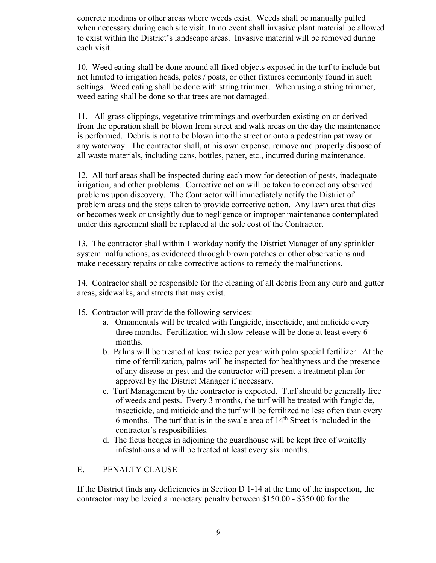concrete medians or other areas where weeds exist. Weeds shall be manually pulled when necessary during each site visit. In no event shall invasive plant material be allowed to exist within the District's landscape areas. Invasive material will be removed during each visit.

10. Weed eating shall be done around all fixed objects exposed in the turf to include but not limited to irrigation heads, poles / posts, or other fixtures commonly found in such settings. Weed eating shall be done with string trimmer. When using a string trimmer, weed eating shall be done so that trees are not damaged.

11. All grass clippings, vegetative trimmings and overburden existing on or derived from the operation shall be blown from street and walk areas on the day the maintenance is performed. Debris is not to be blown into the street or onto a pedestrian pathway or any waterway. The contractor shall, at his own expense, remove and properly dispose of all waste materials, including cans, bottles, paper, etc., incurred during maintenance.

12. All turf areas shall be inspected during each mow for detection of pests, inadequate irrigation, and other problems. Corrective action will be taken to correct any observed problems upon discovery. The Contractor will immediately notify the District of problem areas and the steps taken to provide corrective action. Any lawn area that dies or becomes week or unsightly due to negligence or improper maintenance contemplated under this agreement shall be replaced at the sole cost of the Contractor.

13. The contractor shall within 1 workday notify the District Manager of any sprinkler system malfunctions, as evidenced through brown patches or other observations and make necessary repairs or take corrective actions to remedy the malfunctions.

14. Contractor shall be responsible for the cleaning of all debris from any curb and gutter areas, sidewalks, and streets that may exist.

- 15. Contractor will provide the following services:
	- a. Ornamentals will be treated with fungicide, insecticide, and miticide every three months. Fertilization with slow release will be done at least every 6 months.
	- b. Palms will be treated at least twice per year with palm special fertilizer. At the time of fertilization, palms will be inspected for healthyness and the presence of any disease or pest and the contractor will present a treatment plan for approval by the District Manager if necessary.
	- c. Turf Management by the contractor is expected. Turf should be generally free of weeds and pests. Every 3 months, the turf will be treated with fungicide, insecticide, and miticide and the turf will be fertilized no less often than every 6 months. The turf that is in the swale area of 14th Street is included in the contractor's resposibilities.
	- d. The ficus hedges in adjoining the guardhouse will be kept free of whitefly infestations and will be treated at least every six months.

#### E. PENALTY CLAUSE

If the District finds any deficiencies in Section D 1-14 at the time of the inspection, the contractor may be levied a monetary penalty between \$150.00 - \$350.00 for the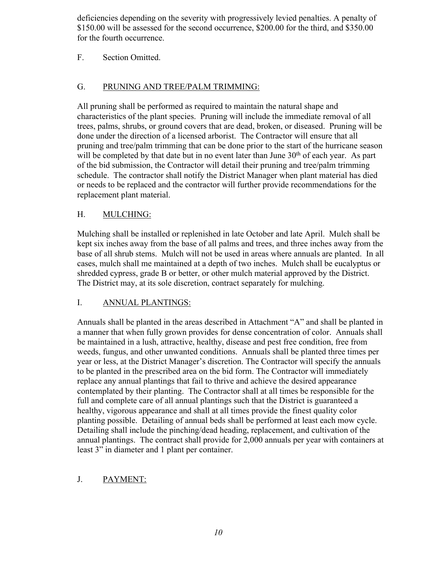deficiencies depending on the severity with progressively levied penalties. A penalty of \$150.00 will be assessed for the second occurrence, \$200.00 for the third, and \$350.00 for the fourth occurrence.

# F. Section Omitted.

# G. PRUNING AND TREE/PALM TRIMMING:

All pruning shall be performed as required to maintain the natural shape and characteristics of the plant species. Pruning will include the immediate removal of all trees, palms, shrubs, or ground covers that are dead, broken, or diseased. Pruning will be done under the direction of a licensed arborist. The Contractor will ensure that all pruning and tree/palm trimming that can be done prior to the start of the hurricane season will be completed by that date but in no event later than June  $30<sup>th</sup>$  of each year. As part of the bid submission, the Contractor will detail their pruning and tree/palm trimming schedule. The contractor shall notify the District Manager when plant material has died or needs to be replaced and the contractor will further provide recommendations for the replacement plant material.

# H. MULCHING:

Mulching shall be installed or replenished in late October and late April. Mulch shall be kept six inches away from the base of all palms and trees, and three inches away from the base of all shrub stems. Mulch will not be used in areas where annuals are planted. In all cases, mulch shall me maintained at a depth of two inches. Mulch shall be eucalyptus or shredded cypress, grade B or better, or other mulch material approved by the District. The District may, at its sole discretion, contract separately for mulching.

### I. ANNUAL PLANTINGS:

Annuals shall be planted in the areas described in Attachment "A" and shall be planted in a manner that when fully grown provides for dense concentration of color. Annuals shall be maintained in a lush, attractive, healthy, disease and pest free condition, free from weeds, fungus, and other unwanted conditions. Annuals shall be planted three times per year or less, at the District Manager's discretion. The Contractor will specify the annuals to be planted in the prescribed area on the bid form. The Contractor will immediately replace any annual plantings that fail to thrive and achieve the desired appearance contemplated by their planting. The Contractor shall at all times be responsible for the full and complete care of all annual plantings such that the District is guaranteed a healthy, vigorous appearance and shall at all times provide the finest quality color planting possible. Detailing of annual beds shall be performed at least each mow cycle. Detailing shall include the pinching/dead heading, replacement, and cultivation of the annual plantings. The contract shall provide for 2,000 annuals per year with containers at least 3" in diameter and 1 plant per container.

### J. PAYMENT: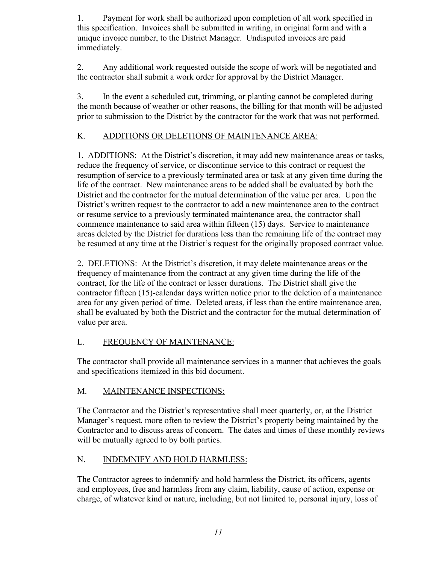1. Payment for work shall be authorized upon completion of all work specified in this specification. Invoices shall be submitted in writing, in original form and with a unique invoice number, to the District Manager. Undisputed invoices are paid immediately.

2. Any additional work requested outside the scope of work will be negotiated and the contractor shall submit a work order for approval by the District Manager.

3. In the event a scheduled cut, trimming, or planting cannot be completed during the month because of weather or other reasons, the billing for that month will be adjusted prior to submission to the District by the contractor for the work that was not performed.

# K. ADDITIONS OR DELETIONS OF MAINTENANCE AREA:

1. ADDITIONS: At the District's discretion, it may add new maintenance areas or tasks, reduce the frequency of service, or discontinue service to this contract or request the resumption of service to a previously terminated area or task at any given time during the life of the contract. New maintenance areas to be added shall be evaluated by both the District and the contractor for the mutual determination of the value per area. Upon the District's written request to the contractor to add a new maintenance area to the contract or resume service to a previously terminated maintenance area, the contractor shall commence maintenance to said area within fifteen (15) days. Service to maintenance areas deleted by the District for durations less than the remaining life of the contract may be resumed at any time at the District's request for the originally proposed contract value.

2. DELETIONS: At the District's discretion, it may delete maintenance areas or the frequency of maintenance from the contract at any given time during the life of the contract, for the life of the contract or lesser durations. The District shall give the contractor fifteen (15)-calendar days written notice prior to the deletion of a maintenance area for any given period of time. Deleted areas, if less than the entire maintenance area, shall be evaluated by both the District and the contractor for the mutual determination of value per area.

# L. FREQUENCY OF MAINTENANCE:

The contractor shall provide all maintenance services in a manner that achieves the goals and specifications itemized in this bid document.

### M. MAINTENANCE INSPECTIONS:

The Contractor and the District's representative shall meet quarterly, or, at the District Manager's request, more often to review the District's property being maintained by the Contractor and to discuss areas of concern. The dates and times of these monthly reviews will be mutually agreed to by both parties.

# N. INDEMNIFY AND HOLD HARMLESS:

The Contractor agrees to indemnify and hold harmless the District, its officers, agents and employees, free and harmless from any claim, liability, cause of action, expense or charge, of whatever kind or nature, including, but not limited to, personal injury, loss of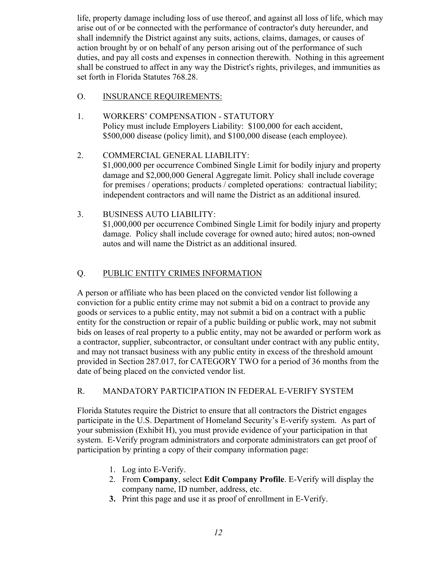life, property damage including loss of use thereof, and against all loss of life, which may arise out of or be connected with the performance of contractor's duty hereunder, and shall indemnify the District against any suits, actions, claims, damages, or causes of action brought by or on behalf of any person arising out of the performance of such duties, and pay all costs and expenses in connection therewith. Nothing in this agreement shall be construed to affect in any way the District's rights, privileges, and immunities as set forth in Florida Statutes 768.28.

### O. INSURANCE REQUIREMENTS:

- 1. WORKERS' COMPENSATION STATUTORY Policy must include Employers Liability: \$100,000 for each accident, \$500,000 disease (policy limit), and \$100,000 disease (each employee).
- 2. COMMERCIAL GENERAL LIABILITY: \$1,000,000 per occurrence Combined Single Limit for bodily injury and property damage and \$2,000,000 General Aggregate limit. Policy shall include coverage for premises / operations; products / completed operations: contractual liability; independent contractors and will name the District as an additional insured.
- 3. BUSINESS AUTO LIABILITY: \$1,000,000 per occurrence Combined Single Limit for bodily injury and property damage. Policy shall include coverage for owned auto; hired autos; non-owned autos and will name the District as an additional insured.

# Q. PUBLIC ENTITY CRIMES INFORMATION

A person or affiliate who has been placed on the convicted vendor list following a conviction for a public entity crime may not submit a bid on a contract to provide any goods or services to a public entity, may not submit a bid on a contract with a public entity for the construction or repair of a public building or public work, may not submit bids on leases of real property to a public entity, may not be awarded or perform work as a contractor, supplier, subcontractor, or consultant under contract with any public entity, and may not transact business with any public entity in excess of the threshold amount provided in Section 287.017, for CATEGORY TWO for a period of 36 months from the date of being placed on the convicted vendor list.

### R. MANDATORY PARTICIPATION IN FEDERAL E-VERIFY SYSTEM

Florida Statutes require the District to ensure that all contractors the District engages participate in the U.S. Department of Homeland Security's E-verify system. As part of your submission (Exhibit H), you must provide evidence of your participation in that system. E-Verify program administrators and corporate administrators can get proof of participation by printing a copy of their company information page:

- 1. Log into E-Verify.
- 2. From **Company**, select **Edit Company Profile**. E-Verify will display the company name, ID number, address, etc.
- **3.** Print this page and use it as proof of enrollment in E-Verify.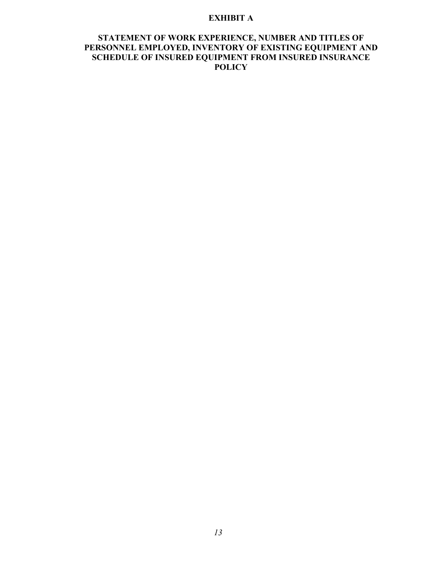#### **EXHIBIT A**

### **STATEMENT OF WORK EXPERIENCE, NUMBER AND TITLES OF PERSONNEL EMPLOYED, INVENTORY OF EXISTING EQUIPMENT AND SCHEDULE OF INSURED EQUIPMENT FROM INSURED INSURANCE POLICY**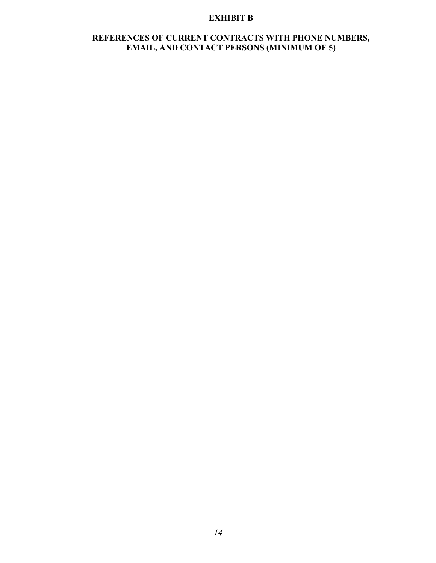## **EXHIBIT B**

# **REFERENCES OF CURRENT CONTRACTS WITH PHONE NUMBERS, EMAIL, AND CONTACT PERSONS (MINIMUM OF 5)**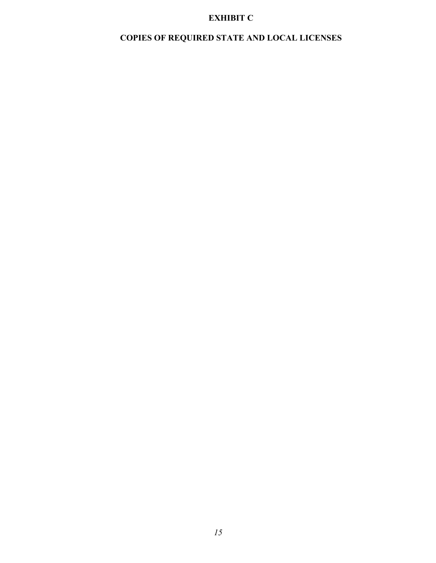# **EXHIBIT C**

# **COPIES OF REQUIRED STATE AND LOCAL LICENSES**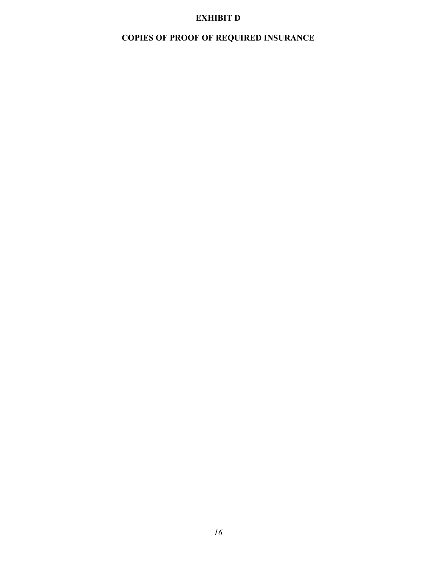# **EXHIBIT D**

# **COPIES OF PROOF OF REQUIRED INSURANCE**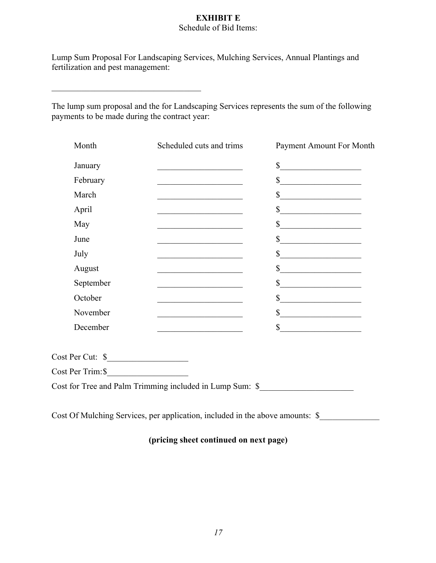#### **EXHIBIT E** Schedule of Bid Items:

Lump Sum Proposal For Landscaping Services, Mulching Services, Annual Plantings and fertilization and pest management:

The lump sum proposal and the for Landscaping Services represents the sum of the following payments to be made during the contract year:

| Month                                     | Scheduled cuts and trims                                                                                              | Payment Amount For Month    |
|-------------------------------------------|-----------------------------------------------------------------------------------------------------------------------|-----------------------------|
| January                                   | the control of the control of the control of the control of the control of                                            | $\sim$                      |
| February                                  | the control of the control of the control of the control of the control of                                            | s                           |
| March                                     |                                                                                                                       | s                           |
| April                                     | the control of the control of the control of the control of                                                           | s                           |
| May                                       | <u> 1989 - Johann Barbara, martxa alemaniar a</u>                                                                     | s                           |
| June                                      | <u> 2008 - Paris Alexandria, prima alemaniar populari e a prima alemania de la prima alemania de la prima alemani</u> | s                           |
| July                                      | <u> 1990 - Johann Barbara, martin a</u>                                                                               | $\frac{1}{2}$               |
| August                                    | the control of the control of the control of the control of the control of                                            | $\frac{1}{2}$               |
| September                                 | <u> 1989 - Johann Barbara, martxa alemaniar a</u>                                                                     | $\frac{1}{2}$               |
| October                                   |                                                                                                                       | $\frac{\text{S}}{\text{S}}$ |
| November                                  |                                                                                                                       | $\mathbb{S}$                |
| December                                  |                                                                                                                       | s                           |
| $Cost Per Cut:$ $\frac{\S_{\_}}{\S_{\_}}$ |                                                                                                                       |                             |
| $Cost Per Trim:$ $\frac{\sqrt{3}}{2}$     |                                                                                                                       |                             |
|                                           | Cost for Tree and Palm Trimming included in Lump Sum: \$                                                              |                             |

Cost Of Mulching Services, per application, included in the above amounts: \$\_\_\_\_\_\_\_\_\_\_\_\_\_\_\_\_\_\_\_\_\_\_\_\_\_\_\_\_\_\_\_\_\_\_

# **(pricing sheet continued on next page)**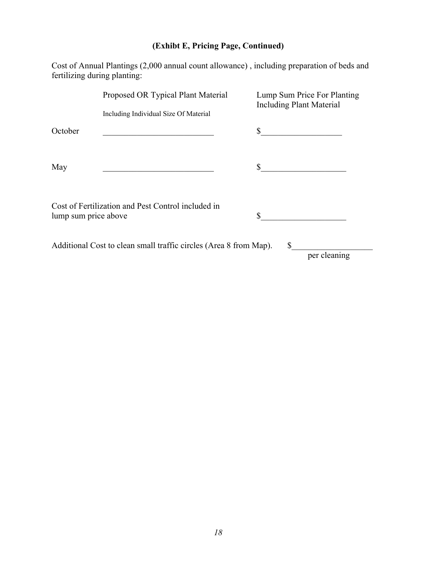# **(Exhibt E, Pricing Page, Continued)**

Cost of Annual Plantings (2,000 annual count allowance) , including preparation of beds and fertilizing during planting:

|                      | Proposed OR Typical Plant Material                                | Lump Sum Price For Planting<br><b>Including Plant Material</b> |
|----------------------|-------------------------------------------------------------------|----------------------------------------------------------------|
|                      | Including Individual Size Of Material                             |                                                                |
| October              |                                                                   | \$                                                             |
|                      |                                                                   |                                                                |
| May                  |                                                                   |                                                                |
|                      | Cost of Fertilization and Pest Control included in                |                                                                |
| lump sum price above |                                                                   | \$                                                             |
|                      | Additional Cost to clean small traffic circles (Area 8 from Map). | S                                                              |
|                      |                                                                   | per cleaning                                                   |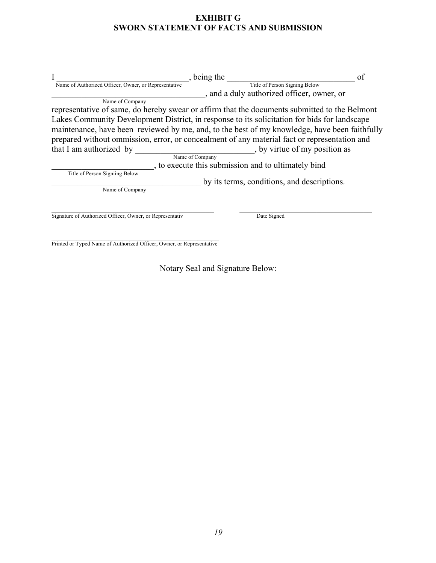# **EXHIBIT G SWORN STATEMENT OF FACTS AND SUBMISSION**

| being the                                                                                     | of |
|-----------------------------------------------------------------------------------------------|----|
| Title of Person Signing Below<br>Name of Authorized Officer, Owner, or Representative         |    |
| , and a duly authorized officer, owner, or                                                    |    |
| Name of Company                                                                               |    |
| representative of same, do hereby swear or affirm that the documents submitted to the Belmont |    |
| Lakes Community Development District, in response to its solicitation for bids for landscape  |    |
| maintenance, have been reviewed by me, and, to the best of my knowledge, have been faithfully |    |
| prepared without ommission, error, or concealment of any material fact or representation and  |    |
| , by virtue of my position as<br>that I am authorized by                                      |    |
| Name of Company                                                                               |    |
| , to execute this submission and to ultimately bind                                           |    |
| Title of Person Signiing Below                                                                |    |
| by its terms, conditions, and descriptions.                                                   |    |
| Name of Company                                                                               |    |
|                                                                                               |    |
| Signature of Authorized Officer, Owner, or Representativ<br>Date Signed                       |    |
|                                                                                               |    |
|                                                                                               |    |

Printed or Typed Name of Authorized Officer, Owner, or Representative

Notary Seal and Signature Below: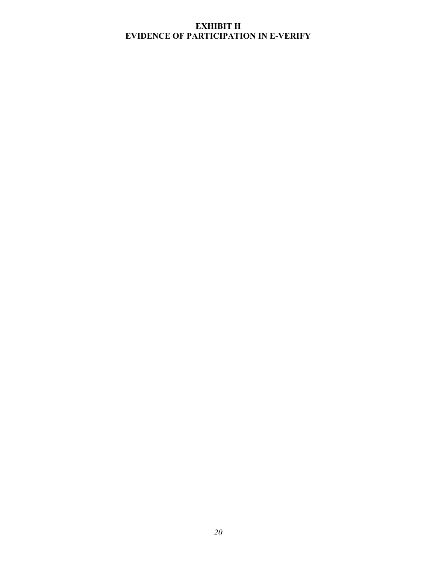# **EXHIBIT H EVIDENCE OF PARTICIPATION IN E-VERIFY**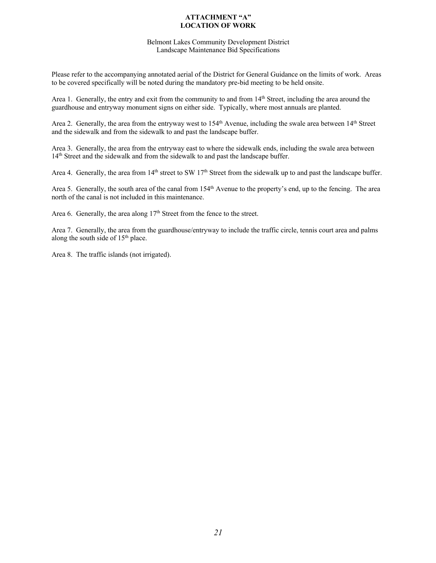#### **ATTACHMENT "A" LOCATION OF WORK**

#### Belmont Lakes Community Development District Landscape Maintenance Bid Specifications

Please refer to the accompanying annotated aerial of the District for General Guidance on the limits of work. Areas to be covered specifically will be noted during the mandatory pre-bid meeting to be held onsite.

Area 1. Generally, the entry and exit from the community to and from 14<sup>th</sup> Street, including the area around the guardhouse and entryway monument signs on either side. Typically, where most annuals are planted.

Area 2. Generally, the area from the entryway west to  $154<sup>th</sup>$  Avenue, including the swale area between  $14<sup>th</sup>$  Street and the sidewalk and from the sidewalk to and past the landscape buffer.

Area 3. Generally, the area from the entryway east to where the sidewalk ends, including the swale area between 14th Street and the sidewalk and from the sidewalk to and past the landscape buffer.

Area 4. Generally, the area from  $14<sup>th</sup>$  street to SW  $17<sup>th</sup>$  Street from the sidewalk up to and past the landscape buffer.

Area 5. Generally, the south area of the canal from 154<sup>th</sup> Avenue to the property's end, up to the fencing. The area north of the canal is not included in this maintenance.

Area 6. Generally, the area along  $17<sup>th</sup>$  Street from the fence to the street.

Area 7. Generally, the area from the guardhouse/entryway to include the traffic circle, tennis court area and palms along the south side of 15<sup>th</sup> place.

Area 8. The traffic islands (not irrigated).